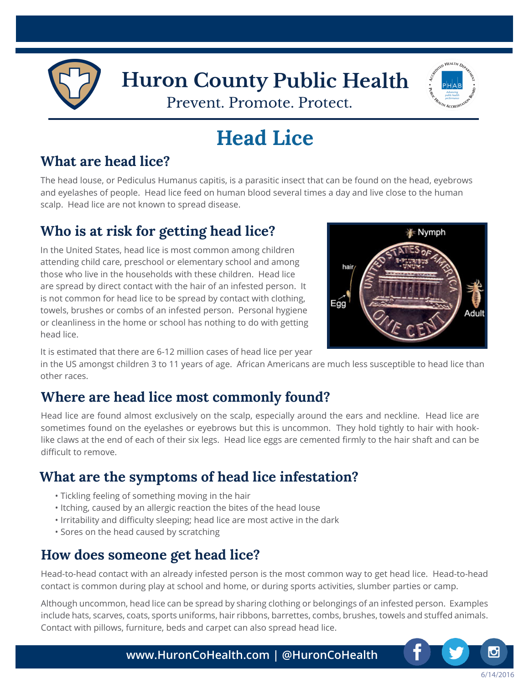



# **Head Lice**

## **What are head lice?**

The head louse, or Pediculus Humanus capitis, is a parasitic insect that can be found on the head, eyebrows and eyelashes of people. Head lice feed on human blood several times a day and live close to the human scalp. Head lice are not known to spread disease.

## **Who is at risk for getting head lice?**

In the United States, head lice is most common among children attending child care, preschool or elementary school and among those who live in the households with these children. Head lice are spread by direct contact with the hair of an infested person. It is not common for head lice to be spread by contact with clothing, towels, brushes or combs of an infested person. Personal hygiene or cleanliness in the home or school has nothing to do with getting head lice.



It is estimated that there are 6-12 million cases of head lice per year

in the US amongst children 3 to 11 years of age. African Americans are much less susceptible to head lice than other races.

### **Where are head lice most commonly found?**

Head lice are found almost exclusively on the scalp, especially around the ears and neckline. Head lice are sometimes found on the eyelashes or eyebrows but this is uncommon. They hold tightly to hair with hooklike claws at the end of each of their six legs. Head lice eggs are cemented firmly to the hair shaft and can be difficult to remove.

## **What are the symptoms of head lice infestation?**

- Tickling feeling of something moving in the hair
- Itching, caused by an allergic reaction the bites of the head louse
- Irritability and difficulty sleeping; head lice are most active in the dark
- Sores on the head caused by scratching

### **How does someone get head lice?**

Head-to-head contact with an already infested person is the most common way to get head lice. Head-to-head contact is common during play at school and home, or during sports activities, slumber parties or camp.

Although uncommon, head lice can be spread by sharing clothing or belongings of an infested person. Examples include hats, scarves, coats, sports uniforms, hair ribbons, barrettes, combs, brushes, towels and stuffed animals. Contact with pillows, furniture, beds and carpet can also spread head lice.



6/14/2016